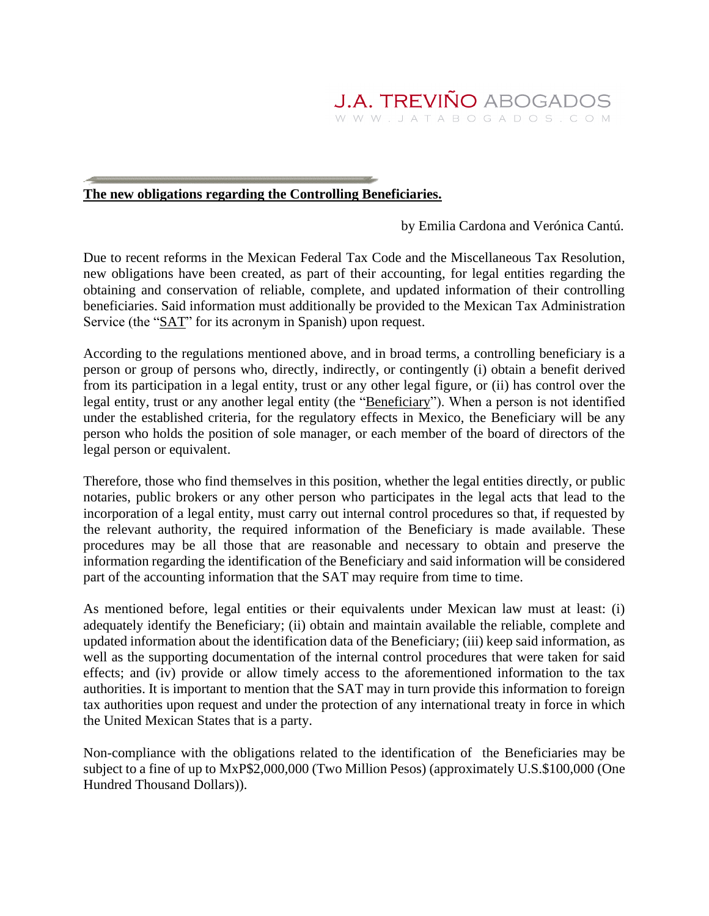## **The new obligations regarding the Controlling Beneficiaries.**

by Emilia Cardona and Verónica Cantú.

Due to recent reforms in the Mexican Federal Tax Code and the Miscellaneous Tax Resolution, new obligations have been created, as part of their accounting, for legal entities regarding the obtaining and conservation of reliable, complete, and updated information of their controlling beneficiaries. Said information must additionally be provided to the Mexican Tax Administration Service (the "SAT" for its acronym in Spanish) upon request.

According to the regulations mentioned above, and in broad terms, a controlling beneficiary is a person or group of persons who, directly, indirectly, or contingently (i) obtain a benefit derived from its participation in a legal entity, trust or any other legal figure, or (ii) has control over the legal entity, trust or any another legal entity (the "Beneficiary"). When a person is not identified under the established criteria, for the regulatory effects in Mexico, the Beneficiary will be any person who holds the position of sole manager, or each member of the board of directors of the legal person or equivalent.

Therefore, those who find themselves in this position, whether the legal entities directly, or public notaries, public brokers or any other person who participates in the legal acts that lead to the incorporation of a legal entity, must carry out internal control procedures so that, if requested by the relevant authority, the required information of the Beneficiary is made available. These procedures may be all those that are reasonable and necessary to obtain and preserve the information regarding the identification of the Beneficiary and said information will be considered part of the accounting information that the SAT may require from time to time.

As mentioned before, legal entities or their equivalents under Mexican law must at least: (i) adequately identify the Beneficiary; (ii) obtain and maintain available the reliable, complete and updated information about the identification data of the Beneficiary; (iii) keep said information, as well as the supporting documentation of the internal control procedures that were taken for said effects; and (iv) provide or allow timely access to the aforementioned information to the tax authorities. It is important to mention that the SAT may in turn provide this information to foreign tax authorities upon request and under the protection of any international treaty in force in which the United Mexican States that is a party.

Non-compliance with the obligations related to the identification of the Beneficiaries may be subject to a fine of up to MxP\$2,000,000 (Two Million Pesos) (approximately U.S.\$100,000 (One Hundred Thousand Dollars)).